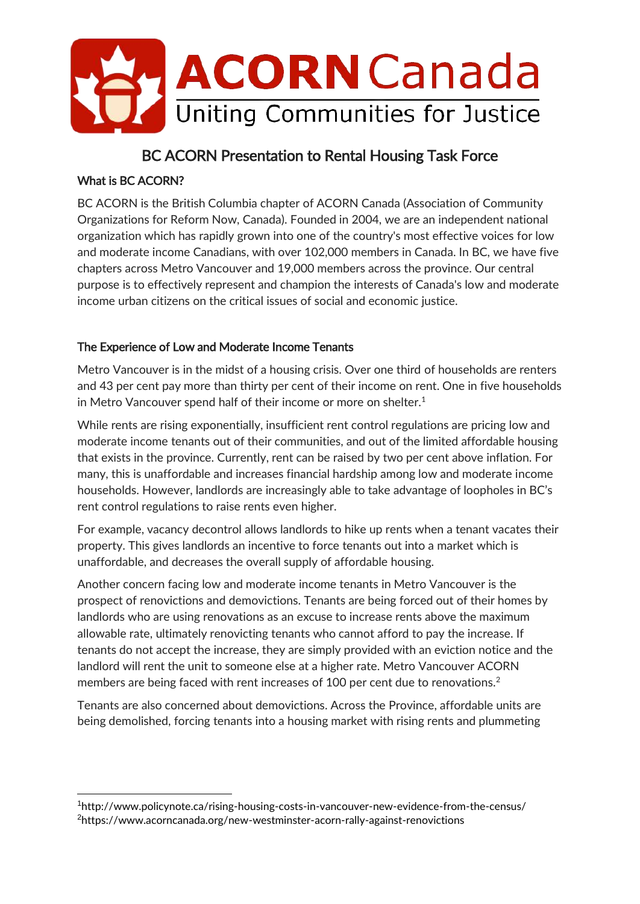

# BC ACORN Presentation to Rental Housing Task Force

#### What is BC ACORN?

-

BC ACORN is the British Columbia chapter of ACORN Canada (Association of Community Organizations for Reform Now, Canada). Founded in 2004, we are an independent national organization which has rapidly grown into one of the country's most effective voices for low and moderate income Canadians, with over 102,000 members in Canada. In BC, we have five chapters across Metro Vancouver and 19,000 members across the province. Our central purpose is to effectively represent and champion the interests of Canada's low and moderate income urban citizens on the critical issues of social and economic justice.

## The Experience of Low and Moderate Income Tenants

Metro Vancouver is in the midst of a housing crisis. Over one third of households are renters and 43 per cent pay more than thirty per cent of their income on rent. One in five households in Metro Vancouver spend half of their income or more on shelter. $<sup>1</sup>$ </sup>

While rents are rising exponentially, insufficient rent control regulations are pricing low and moderate income tenants out of their communities, and out of the limited affordable housing that exists in the province. Currently, rent can be raised by two per cent above inflation. For many, this is unaffordable and increases financial hardship among low and moderate income households. However, landlords are increasingly able to take advantage of loopholes in BC's rent control regulations to raise rents even higher.

For example, vacancy decontrol allows landlords to hike up rents when a tenant vacates their property. This gives landlords an incentive to force tenants out into a market which is unaffordable, and decreases the overall supply of affordable housing.

Another concern facing low and moderate income tenants in Metro Vancouver is the prospect of renovictions and demovictions. Tenants are being forced out of their homes by landlords who are using renovations as an excuse to increase rents above the maximum allowable rate, ultimately renovicting tenants who cannot afford to pay the increase. If tenants do not accept the increase, they are simply provided with an eviction notice and the landlord will rent the unit to someone else at a higher rate. Metro Vancouver ACORN members are being faced with rent increases of 100 per cent due to renovations.<sup>2</sup>

Tenants are also concerned about demovictions. Across the Province, affordable units are being demolished, forcing tenants into a housing market with rising rents and plummeting

<sup>1</sup>http://www.policynote.ca/rising-housing-costs-in-vancouver-new-evidence-from-the-census/ <sup>2</sup>https://www.acorncanada.org/new-westminster-acorn-rally-against-renovictions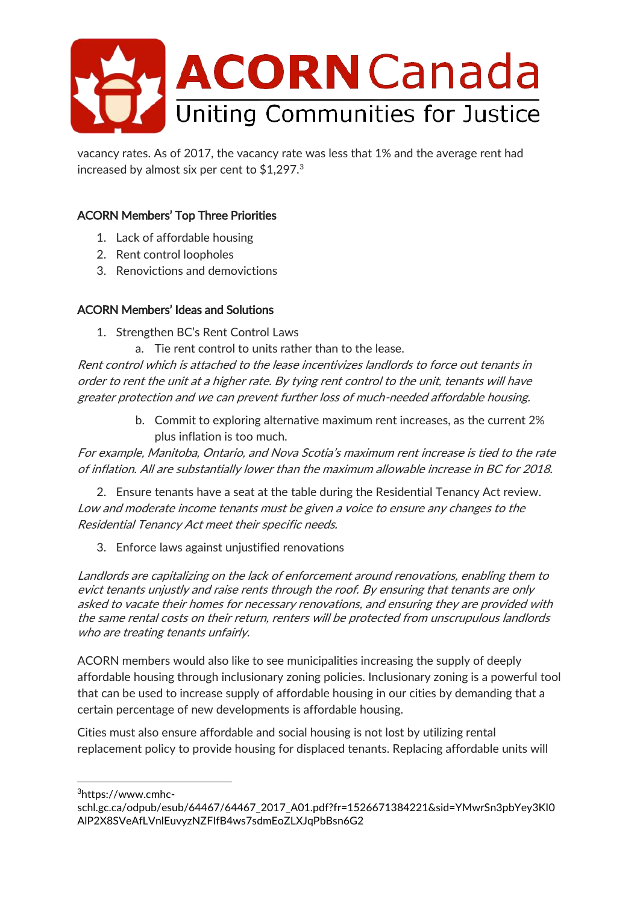

vacancy rates. As of 2017, the vacancy rate was less that 1% and the average rent had increased by almost six per cent to \$1,297.<sup>3</sup>

# ACORN Members' Top Three Priorities

- 1. Lack of affordable housing
- 2. Rent control loopholes
- 3. Renovictions and demovictions

#### ACORN Members' Ideas and Solutions

- 1. Strengthen BC's Rent Control Laws
	- a. Tie rent control to units rather than to the lease.

Rent control which is attached to the lease incentivizes landlords to force out tenants in order to rent the unit at a higher rate. By tying rent control to the unit, tenants will have greater protection and we can prevent further loss of much-needed affordable housing.

> b. Commit to exploring alternative maximum rent increases, as the current 2% plus inflation is too much.

For example, Manitoba, Ontario, and Nova Scotia's maximum rent increase is tied to the rate of inflation. All are substantially lower than the maximum allowable increase in BC for 2018.

2. Ensure tenants have a seat at the table during the Residential Tenancy Act review. Low and moderate income tenants must be given a voice to ensure any changes to the Residential Tenancy Act meet their specific needs.

3. Enforce laws against unjustified renovations

Landlords are capitalizing on the lack of enforcement around renovations, enabling them to evict tenants unjustly and raise rents through the roof. By ensuring that tenants are only asked to vacate their homes for necessary renovations, and ensuring they are provided with the same rental costs on their return, renters will be protected from unscrupulous landlords who are treating tenants unfairly.

ACORN members would also like to see municipalities increasing the supply of deeply affordable housing through inclusionary zoning policies. Inclusionary zoning is a powerful tool that can be used to increase supply of affordable housing in our cities by demanding that a certain percentage of new developments is affordable housing.

Cities must also ensure affordable and social housing is not lost by utilizing rental replacement policy to provide housing for displaced tenants. Replacing affordable units will

<sup>3</sup>https://www.cmhc-

-

schl.gc.ca/odpub/esub/64467/64467\_2017\_A01.pdf?fr=1526671384221&sid=YMwrSn3pbYey3KI0 AlP2X8SVeAfLVnlEuvyzNZFIfB4ws7sdmEoZLXJqPbBsn6G2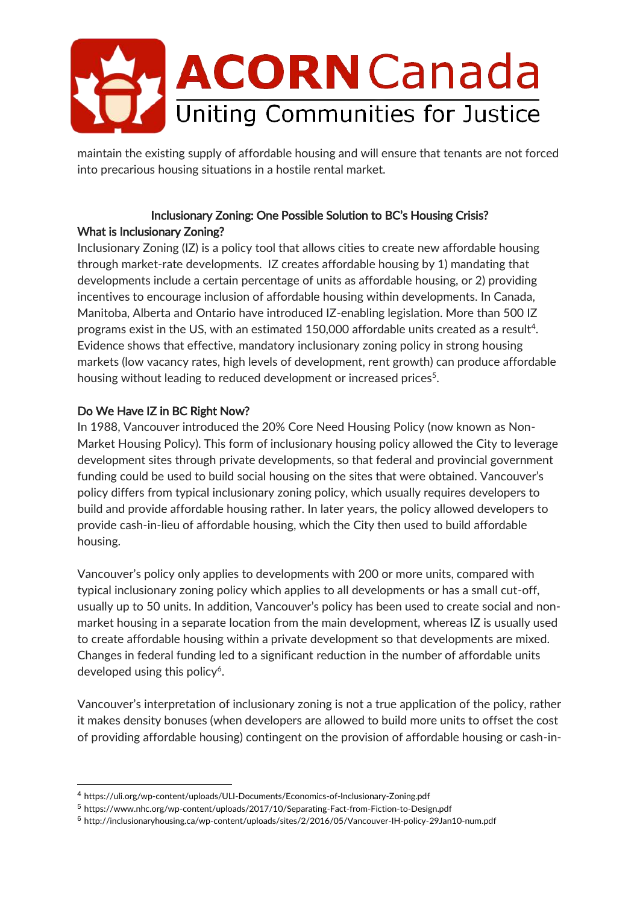

maintain the existing supply of affordable housing and will ensure that tenants are not forced into precarious housing situations in a hostile rental market.

#### Inclusionary Zoning: One Possible Solution to BC's Housing Crisis? What is Inclusionary Zoning?

Inclusionary Zoning (IZ) is a policy tool that allows cities to create new affordable housing through market-rate developments. IZ creates affordable housing by 1) mandating that developments include a certain percentage of units as affordable housing, or 2) providing incentives to encourage inclusion of affordable housing within developments. In Canada, Manitoba, Alberta and Ontario have introduced IZ-enabling legislation. More than 500 IZ programs exist in the US, with an estimated 150,000 affordable units created as a result<sup>4</sup>. Evidence shows that effective, mandatory inclusionary zoning policy in strong housing markets (low vacancy rates, high levels of development, rent growth) can produce affordable housing without leading to reduced development or increased prices<sup>5</sup>.

## Do We Have IZ in BC Right Now?

-

In 1988, Vancouver introduced the 20% Core Need Housing Policy (now known as Non-Market Housing Policy). This form of inclusionary housing policy allowed the City to leverage development sites through private developments, so that federal and provincial government funding could be used to build social housing on the sites that were obtained. Vancouver's policy differs from typical inclusionary zoning policy, which usually requires developers to build and provide affordable housing rather. In later years, the policy allowed developers to provide cash-in-lieu of affordable housing, which the City then used to build affordable housing.

Vancouver's policy only applies to developments with 200 or more units, compared with typical inclusionary zoning policy which applies to all developments or has a small cut-off, usually up to 50 units. In addition, Vancouver's policy has been used to create social and nonmarket housing in a separate location from the main development, whereas IZ is usually used to create affordable housing within a private development so that developments are mixed. Changes in federal funding led to a significant reduction in the number of affordable units developed using this policy<sup>6</sup>.

Vancouver's interpretation of inclusionary zoning is not a true application of the policy, rather it makes density bonuses (when developers are allowed to build more units to offset the cost of providing affordable housing) contingent on the provision of affordable housing or cash-in-

<sup>4</sup> https://uli.org/wp-content/uploads/ULI-Documents/Economics-of-Inclusionary-Zoning.pdf

<sup>5</sup> https://www.nhc.org/wp-content/uploads/2017/10/Separating-Fact-from-Fiction-to-Design.pdf

<sup>6</sup> http://inclusionaryhousing.ca/wp-content/uploads/sites/2/2016/05/Vancouver-IH-policy-29Jan10-num.pdf